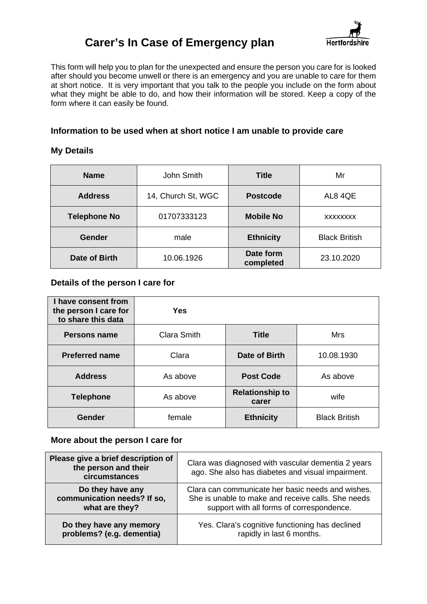

This form will help you to plan for the unexpected and ensure the person you care for is looked after should you become unwell or there is an emergency and you are unable to care for them at short notice. It is very important that you talk to the people you include on the form about what they might be able to do, and how their information will be stored. Keep a copy of the form where it can easily be found.

#### **Information to be used when at short notice I am unable to provide care**

#### **My Details**

| <b>Name</b>                                           | John Smith         | <b>Title</b>     | Mr                   |
|-------------------------------------------------------|--------------------|------------------|----------------------|
| <b>Address</b>                                        | 14, Church St, WGC | <b>Postcode</b>  |                      |
| <b>Telephone No</b>                                   | 01707333123        | <b>Mobile No</b> | <b>XXXXXXXX</b>      |
| <b>Gender</b>                                         | male               | <b>Ethnicity</b> | <b>Black British</b> |
| Date form<br>Date of Birth<br>10.06.1926<br>completed |                    | 23.10.2020       |                      |

#### **Details of the person I care for**

| I have consent from<br>the person I care for<br>to share this data | Yes                |                                 |                      |
|--------------------------------------------------------------------|--------------------|---------------------------------|----------------------|
| <b>Persons name</b>                                                | <b>Clara Smith</b> | <b>Title</b>                    | Mrs                  |
| <b>Preferred name</b>                                              | Clara              | Date of Birth                   | 10.08.1930           |
| <b>Address</b>                                                     | As above           | <b>Post Code</b>                | As above             |
| <b>Telephone</b>                                                   | As above           | <b>Relationship to</b><br>carer | wife                 |
| <b>Gender</b>                                                      | female             | <b>Ethnicity</b>                | <b>Black British</b> |

#### **More about the person I care for**

| Please give a brief description of<br>the person and their<br>circumstances | Clara was diagnosed with vascular dementia 2 years<br>ago. She also has diabetes and visual impairment. |
|-----------------------------------------------------------------------------|---------------------------------------------------------------------------------------------------------|
| Do they have any                                                            | Clara can communicate her basic needs and wishes.                                                       |
| communication needs? If so,                                                 | She is unable to make and receive calls. She needs                                                      |
| what are they?                                                              | support with all forms of correspondence.                                                               |
| Do they have any memory                                                     | Yes. Clara's cognitive functioning has declined                                                         |
| problems? (e.g. dementia)                                                   | rapidly in last 6 months.                                                                               |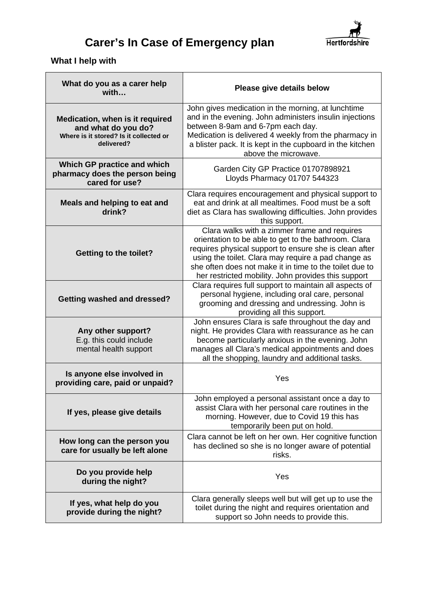

### **What I help with**

| What do you as a carer help<br>with                                                                            | Please give details below                                                                                                                                                                                                                                                                                                               |
|----------------------------------------------------------------------------------------------------------------|-----------------------------------------------------------------------------------------------------------------------------------------------------------------------------------------------------------------------------------------------------------------------------------------------------------------------------------------|
| Medication, when is it required<br>and what do you do?<br>Where is it stored? Is it collected or<br>delivered? | John gives medication in the morning, at lunchtime<br>and in the evening. John administers insulin injections<br>between 8-9am and 6-7pm each day.<br>Medication is delivered 4 weekly from the pharmacy in<br>a blister pack. It is kept in the cupboard in the kitchen<br>above the microwave.                                        |
| Which GP practice and which<br>pharmacy does the person being<br>cared for use?                                | Garden City GP Practice 01707898921<br>Lloyds Pharmacy 01707 544323                                                                                                                                                                                                                                                                     |
| Meals and helping to eat and<br>drink?                                                                         | Clara requires encouragement and physical support to<br>eat and drink at all mealtimes. Food must be a soft<br>diet as Clara has swallowing difficulties. John provides<br>this support.                                                                                                                                                |
| <b>Getting to the toilet?</b>                                                                                  | Clara walks with a zimmer frame and requires<br>orientation to be able to get to the bathroom. Clara<br>requires physical support to ensure she is clean after<br>using the toilet. Clara may require a pad change as<br>she often does not make it in time to the toilet due to<br>her restricted mobility. John provides this support |
| <b>Getting washed and dressed?</b>                                                                             | Clara requires full support to maintain all aspects of<br>personal hygiene, including oral care, personal<br>grooming and dressing and undressing. John is<br>providing all this support.                                                                                                                                               |
| Any other support?<br>E.g. this could include<br>mental health support                                         | John ensures Clara is safe throughout the day and<br>night. He provides Clara with reassurance as he can<br>become particularly anxious in the evening. John<br>manages all Clara's medical appointments and does<br>all the shopping, laundry and additional tasks.                                                                    |
| Is anyone else involved in<br>providing care, paid or unpaid?                                                  | Yes                                                                                                                                                                                                                                                                                                                                     |
| If yes, please give details                                                                                    | John employed a personal assistant once a day to<br>assist Clara with her personal care routines in the<br>morning. However, due to Covid 19 this has<br>temporarily been put on hold.                                                                                                                                                  |
| How long can the person you<br>care for usually be left alone                                                  | Clara cannot be left on her own. Her cognitive function<br>has declined so she is no longer aware of potential<br>risks.                                                                                                                                                                                                                |
| Do you provide help<br>during the night?                                                                       | Yes                                                                                                                                                                                                                                                                                                                                     |
| If yes, what help do you<br>provide during the night?                                                          | Clara generally sleeps well but will get up to use the<br>toilet during the night and requires orientation and<br>support so John needs to provide this.                                                                                                                                                                                |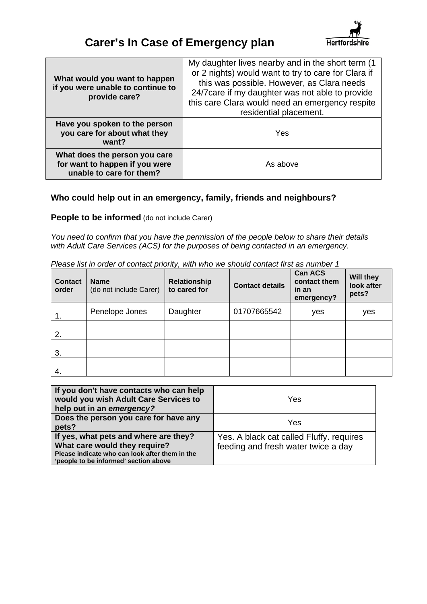

| What would you want to happen<br>if you were unable to continue to<br>provide care?         | My daughter lives nearby and in the short term (1)<br>or 2 nights) would want to try to care for Clara if<br>this was possible. However, as Clara needs<br>24/7 care if my daughter was not able to provide<br>this care Clara would need an emergency respite<br>residential placement. |
|---------------------------------------------------------------------------------------------|------------------------------------------------------------------------------------------------------------------------------------------------------------------------------------------------------------------------------------------------------------------------------------------|
| Have you spoken to the person<br>you care for about what they<br>want?                      | Yes                                                                                                                                                                                                                                                                                      |
| What does the person you care<br>for want to happen if you were<br>unable to care for them? | As above                                                                                                                                                                                                                                                                                 |

#### **Who could help out in an emergency, family, friends and neighbours?**

**People to be informed** (do not include Carer)

*You need to confirm that you have the permission of the people below to share their details with Adult Care Services (ACS) for the purposes of being contacted in an emergency.* 

| <b>Contact</b><br>order | <b>Name</b><br>(do not include Carer) | Relationship<br>to cared for | <b>Contact details</b> | <b>Can ACS</b><br>contact them<br>in an<br>emergency? | <b>Will they</b><br>look after<br>pets? |
|-------------------------|---------------------------------------|------------------------------|------------------------|-------------------------------------------------------|-----------------------------------------|
| 1.                      | Penelope Jones                        | Daughter                     | 01707665542            | yes                                                   | yes                                     |
| 2.                      |                                       |                              |                        |                                                       |                                         |
| 3.                      |                                       |                              |                        |                                                       |                                         |
| 4.                      |                                       |                              |                        |                                                       |                                         |

*Please list in order of contact priority, with who we should contact first as number 1* 

| If you don't have contacts who can help<br>would you wish Adult Care Services to<br>help out in an emergency?                                                     | Yes                                                                             |
|-------------------------------------------------------------------------------------------------------------------------------------------------------------------|---------------------------------------------------------------------------------|
| Does the person you care for have any<br>pets?                                                                                                                    | Yes                                                                             |
| If yes, what pets and where are they?<br>What care would they require?<br>Please indicate who can look after them in the<br>'people to be informed' section above | Yes. A black cat called Fluffy. requires<br>feeding and fresh water twice a day |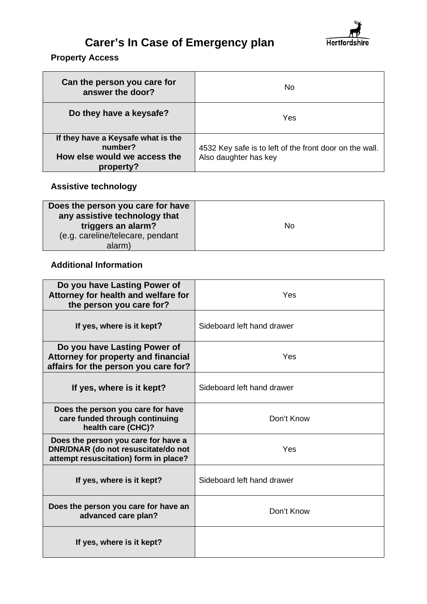

#### **Property Access**

| Can the person you care for<br>answer the door?                                            | No.                                                                              |
|--------------------------------------------------------------------------------------------|----------------------------------------------------------------------------------|
| Do they have a keysafe?                                                                    | Yes                                                                              |
| If they have a Keysafe what is the<br>number?<br>How else would we access the<br>property? | 4532 Key safe is to left of the front door on the wall.<br>Also daughter has key |

### **Assistive technology**

| Does the person you care for have<br>any assistive technology that<br>triggers an alarm?<br>(e.g. careline/telecare, pendant | No |
|------------------------------------------------------------------------------------------------------------------------------|----|
| alarm)                                                                                                                       |    |

#### **Additional Information**

| Do you have Lasting Power of<br>Attorney for health and welfare for<br>the person you care for?                     | Yes                        |
|---------------------------------------------------------------------------------------------------------------------|----------------------------|
| If yes, where is it kept?                                                                                           | Sideboard left hand drawer |
| Do you have Lasting Power of<br>Attorney for property and financial<br>affairs for the person you care for?         | Yes                        |
| If yes, where is it kept?                                                                                           | Sideboard left hand drawer |
| Does the person you care for have<br>care funded through continuing<br>health care (CHC)?                           | Don't Know                 |
| Does the person you care for have a<br>DNR/DNAR (do not resuscitate/do not<br>attempt resuscitation) form in place? | Yes                        |
| If yes, where is it kept?                                                                                           | Sideboard left hand drawer |
| Does the person you care for have an<br>advanced care plan?                                                         | Don't Know                 |
| If yes, where is it kept?                                                                                           |                            |